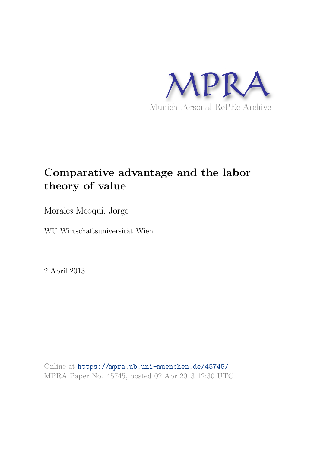

# **Comparative advantage and the labor theory of value**

Morales Meoqui, Jorge

WU Wirtschaftsuniversität Wien

2 April 2013

Online at https://mpra.ub.uni-muenchen.de/45745/ MPRA Paper No. 45745, posted 02 Apr 2013 12:30 UTC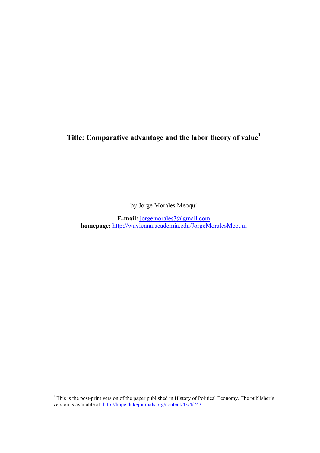**Title: Comparative advantage and the labor theory of value<sup>1</sup>**

by Jorge Morales Meoqui

**E-mail:** jorgemorales3@gmail.com **homepage:** http://wuvienna.academia.edu/JorgeMoralesMeoqui

<sup>&</sup>lt;sup>1</sup> This is the post-print version of the paper published in History of Political Economy. The publisher's version is available at: http://hope.dukejournals.org/content/43/4/743.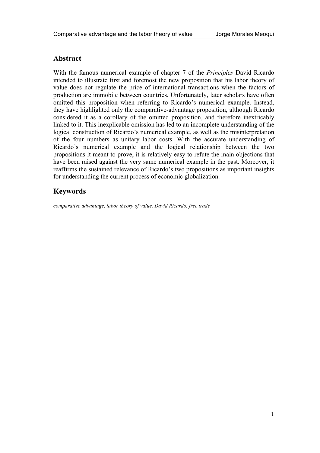## **Abstract**

With the famous numerical example of chapter 7 of the *Principles* David Ricardo intended to illustrate first and foremost the new proposition that his labor theory of value does not regulate the price of international transactions when the factors of production are immobile between countries. Unfortunately, later scholars have often omitted this proposition when referring to Ricardo's numerical example. Instead, they have highlighted only the comparative-advantage proposition, although Ricardo considered it as a corollary of the omitted proposition, and therefore inextricably linked to it. This inexplicable omission has led to an incomplete understanding of the logical construction of Ricardo's numerical example, as well as the misinterpretation of the four numbers as unitary labor costs. With the accurate understanding of Ricardo's numerical example and the logical relationship between the two propositions it meant to prove, it is relatively easy to refute the main objections that have been raised against the very same numerical example in the past. Moreover, it reaffirms the sustained relevance of Ricardo's two propositions as important insights for understanding the current process of economic globalization.

## **Keywords**

*comparative advantage, labor theory of value, David Ricardo, free trade*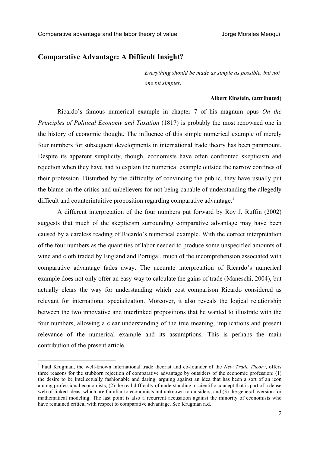## **Comparative Advantage: A Difficult Insight?**

*Everything should be made as simple as possible, but not one bit simpler.*

#### **Albert Einstein, (attributed)**

Ricardo's famous numerical example in chapter 7 of his magnum opus *On the Principles of Political Economy and Taxation* (1817) is probably the most renowned one in the history of economic thought. The influence of this simple numerical example of merely four numbers for subsequent developments in international trade theory has been paramount. Despite its apparent simplicity, though, economists have often confronted skepticism and rejection when they have had to explain the numerical example outside the narrow confines of their profession. Disturbed by the difficulty of convincing the public, they have usually put the blame on the critics and unbelievers for not being capable of understanding the allegedly difficult and counterintuitive proposition regarding comparative advantage.<sup>1</sup>

A different interpretation of the four numbers put forward by Roy J. Ruffin (2002) suggests that much of the skepticism surrounding comparative advantage may have been caused by a careless reading of Ricardo's numerical example. With the correct interpretation of the four numbers as the quantities of labor needed to produce some unspecified amounts of wine and cloth traded by England and Portugal, much of the incomprehension associated with comparative advantage fades away. The accurate interpretation of Ricardo's numerical example does not only offer an easy way to calculate the gains of trade (Maneschi, 2004), but actually clears the way for understanding which cost comparison Ricardo considered as relevant for international specialization. Moreover, it also reveals the logical relationship between the two innovative and interlinked propositions that he wanted to illustrate with the four numbers, allowing a clear understanding of the true meaning, implications and present relevance of the numerical example and its assumptions. This is perhaps the main contribution of the present article.

<sup>&</sup>lt;sup>1</sup> Paul Krugman, the well-known international trade theorist and co-founder of the *New Trade Theory*, offers three reasons for the stubborn rejection of comparative advantage by outsiders of the economic profession: (1) the desire to be intellectually fashionable and daring, arguing against an idea that has been a sort of an icon among professional economists; (2) the real difficulty of understanding a scientific concept that is part of a dense web of linked ideas, which are familiar to economists but unknown to outsiders; and (3) the general aversion for mathematical modeling. The last point is also a recurrent accusation against the minority of economists who have remained critical with respect to comparative advantage. See Krugman n.d.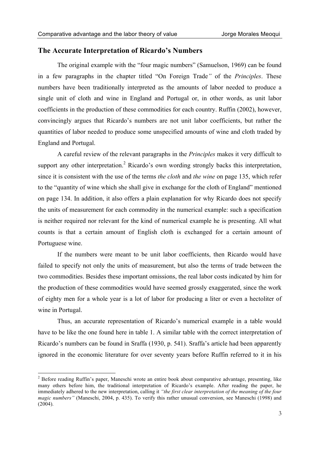#### **The Accurate Interpretation of Ricardo's Numbers**

The original example with the "four magic numbers" (Samuelson, 1969) can be found in a few paragraphs in the chapter titled "On Foreign Trade*"* of the *Principles*. These numbers have been traditionally interpreted as the amounts of labor needed to produce a single unit of cloth and wine in England and Portugal or, in other words, as unit labor coefficients in the production of these commodities for each country. Ruffin (2002), however, convincingly argues that Ricardo's numbers are not unit labor coefficients, but rather the quantities of labor needed to produce some unspecified amounts of wine and cloth traded by England and Portugal.

A careful review of the relevant paragraphs in the *Principles* makes it very difficult to support any other interpretation.<sup>2</sup> Ricardo's own wording strongly backs this interpretation, since it is consistent with the use of the terms *the cloth* and *the wine* on page 135, which refer to the "quantity of wine which she shall give in exchange for the cloth of England" mentioned on page 134. In addition, it also offers a plain explanation for why Ricardo does not specify the units of measurement for each commodity in the numerical example: such a specification is neither required nor relevant for the kind of numerical example he is presenting. All what counts is that a certain amount of English cloth is exchanged for a certain amount of Portuguese wine.

If the numbers were meant to be unit labor coefficients, then Ricardo would have failed to specify not only the units of measurement, but also the terms of trade between the two commodities. Besides these important omissions, the real labor costs indicated by him for the production of these commodities would have seemed grossly exaggerated, since the work of eighty men for a whole year is a lot of labor for producing a liter or even a hectoliter of wine in Portugal.

Thus, an accurate representation of Ricardo's numerical example in a table would have to be like the one found here in table 1. A similar table with the correct interpretation of Ricardo's numbers can be found in Sraffa (1930, p. 541). Sraffa's article had been apparently ignored in the economic literature for over seventy years before Ruffin referred to it in his

<sup>&</sup>lt;sup>2</sup> Before reading Ruffin's paper, Maneschi wrote an entire book about comparative advantage, presenting, like many others before him, the traditional interpretation of Ricardo's example. After reading the paper, he immediately adhered to the new interpretation, calling it *"the first clear interpretation of the meaning of the four magic numbers"* (Maneschi, 2004, p. 435). To verify this rather unusual conversion, see Maneschi (1998) and (2004).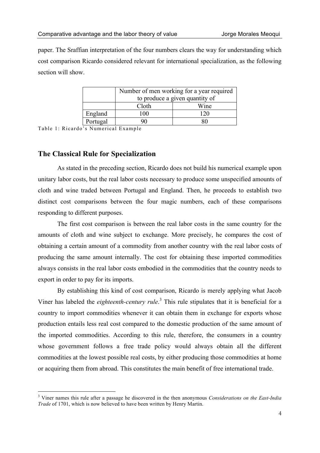paper. The Sraffian interpretation of the four numbers clears the way for understanding which cost comparison Ricardo considered relevant for international specialization, as the following section will show.

|          | Number of men working for a year required<br>to produce a given quantity of |      |
|----------|-----------------------------------------------------------------------------|------|
|          | Cloth                                                                       | Wine |
| England  | 100                                                                         | 120  |
| Portugal |                                                                             |      |

Table 1: Ricardo's Numerical Example

 $\overline{a}$ 

#### **The Classical Rule for Specialization**

As stated in the preceding section, Ricardo does not build his numerical example upon unitary labor costs, but the real labor costs necessary to produce some unspecified amounts of cloth and wine traded between Portugal and England. Then, he proceeds to establish two distinct cost comparisons between the four magic numbers, each of these comparisons responding to different purposes.

The first cost comparison is between the real labor costs in the same country for the amounts of cloth and wine subject to exchange. More precisely, he compares the cost of obtaining a certain amount of a commodity from another country with the real labor costs of producing the same amount internally. The cost for obtaining these imported commodities always consists in the real labor costs embodied in the commodities that the country needs to export in order to pay for its imports.

By establishing this kind of cost comparison, Ricardo is merely applying what Jacob Viner has labeled the *eighteenth-century rule*. 3 This rule stipulates that it is beneficial for a country to import commodities whenever it can obtain them in exchange for exports whose production entails less real cost compared to the domestic production of the same amount of the imported commodities. According to this rule, therefore, the consumers in a country whose government follows a free trade policy would always obtain all the different commodities at the lowest possible real costs, by either producing those commodities at home or acquiring them from abroad. This constitutes the main benefit of free international trade.

<sup>3</sup> Viner names this rule after a passage he discovered in the then anonymous *Considerations on the East-India Trade* of 1701, which is now believed to have been written by Henry Martin.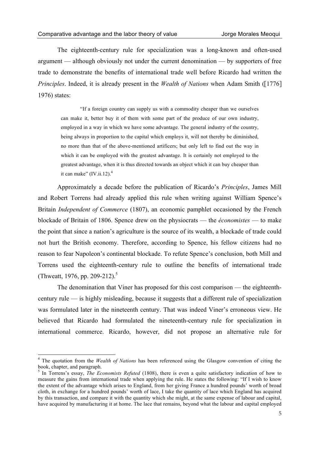The eighteenth-century rule for specialization was a long-known and often-used argument — although obviously not under the current denomination — by supporters of free trade to demonstrate the benefits of international trade well before Ricardo had written the *Principles*. Indeed, it is already present in the *Wealth of Nations* when Adam Smith ([1776] 1976) states:

"If a foreign country can supply us with a commodity cheaper than we ourselves can make it, better buy it of them with some part of the produce of our own industry, employed in a way in which we have some advantage. The general industry of the country, being always in proportion to the capital which employs it, will not thereby be diminished, no more than that of the above-mentioned artificers; but only left to find out the way in which it can be employed with the greatest advantage. It is certainly not employed to the greatest advantage, when it is thus directed towards an object which it can buy cheaper than it can make"  $(IV.ii.12).<sup>4</sup>$ 

Approximately a decade before the publication of Ricardo's *Principles*, James Mill and Robert Torrens had already applied this rule when writing against William Spence's Britain *Independent of Commerce* (1807), an economic pamphlet occasioned by the French blockade of Britain of 1806. Spence drew on the physiocrats — the *économistes* — to make the point that since a nation's agriculture is the source of its wealth, a blockade of trade could not hurt the British economy. Therefore, according to Spence, his fellow citizens had no reason to fear Napoleon's continental blockade. To refute Spence's conclusion, both Mill and Torrens used the eighteenth-century rule to outline the benefits of international trade (Thweatt, 1976, pp. 209-212).<sup>5</sup>

The denomination that Viner has proposed for this cost comparison — the eighteenthcentury rule — is highly misleading, because it suggests that a different rule of specialization was formulated later in the nineteenth century. That was indeed Viner's erroneous view. He believed that Ricardo had formulated the nineteenth-century rule for specialization in international commerce. Ricardo, however, did not propose an alternative rule for

<sup>&</sup>lt;sup>4</sup> The quotation from the *Wealth of Nations* has been referenced using the Glasgow convention of citing the book, chapter, and paragraph.

<sup>&</sup>lt;sup>5</sup> In Torrens's essay, *The Economists Refuted* (1808), there is even a quite satisfactory indication of how to measure the gains from international trade when applying the rule. He states the following: "If I wish to know the extent of the advantage which arises to England, from her giving France a hundred pounds' worth of broad cloth, in exchange for a hundred pounds' worth of lace, I take the quantity of lace which England has acquired by this transaction, and compare it with the quantity which she might, at the same expense of labour and capital, have acquired by manufacturing it at home. The lace that remains, beyond what the labour and capital employed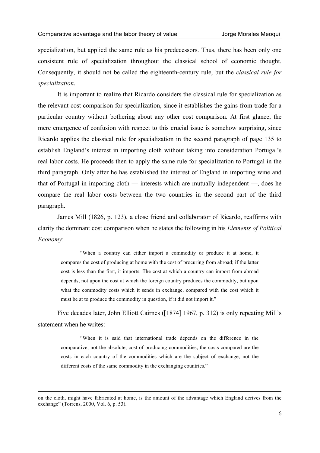specialization, but applied the same rule as his predecessors. Thus, there has been only one consistent rule of specialization throughout the classical school of economic thought. Consequently, it should not be called the eighteenth-century rule, but the *classical rule for specialization*.

It is important to realize that Ricardo considers the classical rule for specialization as the relevant cost comparison for specialization, since it establishes the gains from trade for a particular country without bothering about any other cost comparison. At first glance, the mere emergence of confusion with respect to this crucial issue is somehow surprising, since Ricardo applies the classical rule for specialization in the second paragraph of page 135 to establish England's interest in importing cloth without taking into consideration Portugal's real labor costs. He proceeds then to apply the same rule for specialization to Portugal in the third paragraph. Only after he has established the interest of England in importing wine and that of Portugal in importing cloth — interests which are mutually independent —, does he compare the real labor costs between the two countries in the second part of the third paragraph.

James Mill (1826, p. 123), a close friend and collaborator of Ricardo, reaffirms with clarity the dominant cost comparison when he states the following in his *Elements of Political Economy*:

"When a country can either import a commodity or produce it at home, it compares the cost of producing at home with the cost of procuring from abroad; if the latter cost is less than the first, it imports. The cost at which a country can import from abroad depends, not upon the cost at which the foreign country produces the commodity, but upon what the commodity costs which it sends in exchange, compared with the cost which it must be at to produce the commodity in question, if it did not import it."

Five decades later, John Elliott Cairnes ([1874] 1967, p. 312) is only repeating Mill's statement when he writes:

"When it is said that international trade depends on the difference in the comparative, not the absolute, cost of producing commodities, the costs compared are the costs in each country of the commodities which are the subject of exchange, not the different costs of the same commodity in the exchanging countries."

on the cloth, might have fabricated at home, is the amount of the advantage which England derives from the exchange" (Torrens, 2000, Vol. 6, p. 53).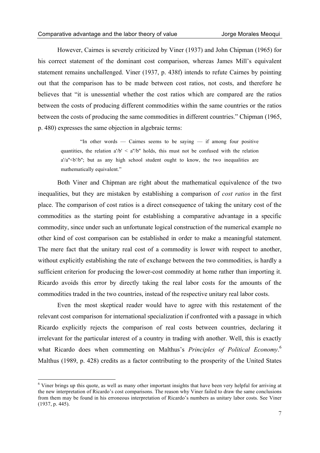However, Cairnes is severely criticized by Viner (1937) and John Chipman (1965) for his correct statement of the dominant cost comparison, whereas James Mill's equivalent statement remains unchallenged. Viner (1937, p. 438f) intends to refute Cairnes by pointing out that the comparison has to be made between cost ratios, not costs, and therefore he believes that "it is unessential whether the cost ratios which are compared are the ratios between the costs of producing different commodities within the same countries or the ratios between the costs of producing the same commodities in different countries." Chipman (1965, p. 480) expresses the same objection in algebraic terms:

"In other words  $-$  Cairnes seems to be saying  $-$  if among four positive quantities, the relation  $a/b' < a''/b''$  holds, this must not be confused with the relation  $a/a'' < b/b''$ ; but as any high school student ought to know, the two inequalities are mathematically equivalent."

Both Viner and Chipman are right about the mathematical equivalence of the two inequalities, but they are mistaken by establishing a comparison of *cost ratios* in the first place. The comparison of cost ratios is a direct consequence of taking the unitary cost of the commodities as the starting point for establishing a comparative advantage in a specific commodity, since under such an unfortunate logical construction of the numerical example no other kind of cost comparison can be established in order to make a meaningful statement. The mere fact that the unitary real cost of a commodity is lower with respect to another, without explicitly establishing the rate of exchange between the two commodities, is hardly a sufficient criterion for producing the lower-cost commodity at home rather than importing it. Ricardo avoids this error by directly taking the real labor costs for the amounts of the commodities traded in the two countries, instead of the respective unitary real labor costs.

Even the most skeptical reader would have to agree with this restatement of the relevant cost comparison for international specialization if confronted with a passage in which Ricardo explicitly rejects the comparison of real costs between countries, declaring it irrelevant for the particular interest of a country in trading with another. Well, this is exactly what Ricardo does when commenting on Malthus's *Principles of Political Economy*. 6 Malthus (1989, p. 428) credits as a factor contributing to the prosperity of the United States

<sup>&</sup>lt;sup>6</sup> Viner brings up this quote, as well as many other important insights that have been very helpful for arriving at the new interpretation of Ricardo's cost comparisons. The reason why Viner failed to draw the same conclusions from them may be found in his erroneous interpretation of Ricardo's numbers as unitary labor costs. See Viner (1937, p. 445).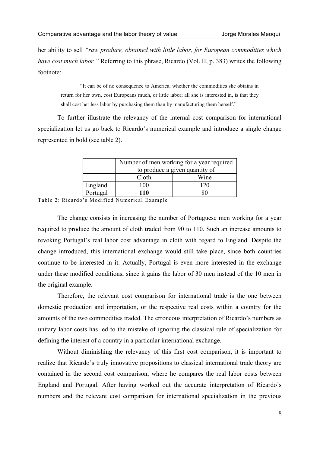her ability to sell *"raw produce, obtained with little labor, for European commodities which have cost much labor."* Referring to this phrase, Ricardo (Vol. II, p. 383) writes the following footnote:

"It can be of no consequence to America, whether the commodities she obtains in return for her own, cost Europeans much, or little labor; all she is interested in, is that they shall cost her less labor by purchasing them than by manufacturing them herself."

To further illustrate the relevancy of the internal cost comparison for international specialization let us go back to Ricardo's numerical example and introduce a single change represented in bold (see table 2).

|          | Number of men working for a year required |      |
|----------|-------------------------------------------|------|
|          | to produce a given quantity of            |      |
|          | Cloth                                     | Wine |
| England  |                                           | 120  |
| Portugal | 11 A                                      |      |

Table 2: Ricardo's Modified Numerical Example

The change consists in increasing the number of Portuguese men working for a year required to produce the amount of cloth traded from 90 to 110. Such an increase amounts to revoking Portugal's real labor cost advantage in cloth with regard to England. Despite the change introduced, this international exchange would still take place, since both countries continue to be interested in it. Actually, Portugal is even more interested in the exchange under these modified conditions, since it gains the labor of 30 men instead of the 10 men in the original example.

Therefore, the relevant cost comparison for international trade is the one between domestic production and importation, or the respective real costs within a country for the amounts of the two commodities traded. The erroneous interpretation of Ricardo's numbers as unitary labor costs has led to the mistake of ignoring the classical rule of specialization for defining the interest of a country in a particular international exchange.

Without diminishing the relevancy of this first cost comparison, it is important to realize that Ricardo's truly innovative propositions to classical international trade theory are contained in the second cost comparison, where he compares the real labor costs between England and Portugal. After having worked out the accurate interpretation of Ricardo's numbers and the relevant cost comparison for international specialization in the previous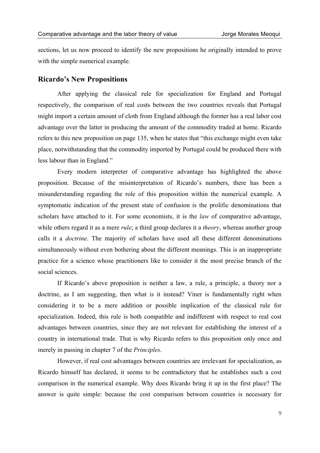sections, let us now proceed to identify the new propositions he originally intended to prove with the simple numerical example.

### **Ricardo's New Propositions**

After applying the classical rule for specialization for England and Portugal respectively, the comparison of real costs between the two countries reveals that Portugal might import a certain amount of cloth from England although the former has a real labor cost advantage over the latter in producing the amount of the commodity traded at home. Ricardo refers to this new proposition on page 135, when he states that "this exchange might even take place, notwithstanding that the commodity imported by Portugal could be produced there with less labour than in England."

Every modern interpreter of comparative advantage has highlighted the above proposition. Because of the misinterpretation of Ricardo's numbers, there has been a misunderstanding regarding the role of this proposition within the numerical example. A symptomatic indication of the present state of confusion is the prolific denominations that scholars have attached to it. For some economists, it is the *law* of comparative advantage, while others regard it as a mere *rule*; a third group declares it a *theory*, whereas another group calls it a *doctrine*. The majority of scholars have used all these different denominations simultaneously without even bothering about the different meanings. This is an inappropriate practice for a science whose practitioners like to consider it the most precise branch of the social sciences.

If Ricardo's above proposition is neither a law, a rule, a principle, a theory nor a doctrine, as I am suggesting, then what is it instead? Viner is fundamentally right when considering it to be a mere addition or possible implication of the classical rule for specialization. Indeed, this rule is both compatible and indifferent with respect to real cost advantages between countries, since they are not relevant for establishing the interest of a country in international trade. That is why Ricardo refers to this proposition only once and merely in passing in chapter 7 of the *Principles*.

However, if real cost advantages between countries are irrelevant for specialization, as Ricardo himself has declared, it seems to be contradictory that he establishes such a cost comparison in the numerical example. Why does Ricardo bring it up in the first place? The answer is quite simple: because the cost comparison between countries is necessary for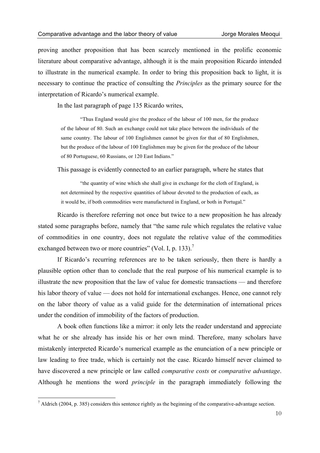proving another proposition that has been scarcely mentioned in the prolific economic literature about comparative advantage, although it is the main proposition Ricardo intended to illustrate in the numerical example. In order to bring this proposition back to light, it is necessary to continue the practice of consulting the *Principles* as the primary source for the interpretation of Ricardo's numerical example.

In the last paragraph of page 135 Ricardo writes,

"Thus England would give the produce of the labour of 100 men, for the produce of the labour of 80. Such an exchange could not take place between the individuals of the same country. The labour of 100 Englishmen cannot be given for that of 80 Englishmen, but the produce of the labour of 100 Englishmen may be given for the produce of the labour of 80 Portuguese, 60 Russians, or 120 East Indians."

This passage is evidently connected to an earlier paragraph, where he states that

"the quantity of wine which she shall give in exchange for the cloth of England, is not determined by the respective quantities of labour devoted to the production of each, as it would be, if both commodities were manufactured in England, or both in Portugal."

Ricardo is therefore referring not once but twice to a new proposition he has already stated some paragraphs before, namely that "the same rule which regulates the relative value of commodities in one country, does not regulate the relative value of the commodities exchanged between two or more countries" (Vol. I, p. 133).<sup>7</sup>

If Ricardo's recurring references are to be taken seriously, then there is hardly a plausible option other than to conclude that the real purpose of his numerical example is to illustrate the new proposition that the law of value for domestic transactions — and therefore his labor theory of value — does not hold for international exchanges. Hence, one cannot rely on the labor theory of value as a valid guide for the determination of international prices under the condition of immobility of the factors of production.

A book often functions like a mirror: it only lets the reader understand and appreciate what he or she already has inside his or her own mind. Therefore, many scholars have mistakenly interpreted Ricardo's numerical example as the enunciation of a new principle or law leading to free trade, which is certainly not the case. Ricardo himself never claimed to have discovered a new principle or law called *comparative costs* or *comparative advantage*. Although he mentions the word *principle* in the paragraph immediately following the

 $^7$  Aldrich (2004, p. 385) considers this sentence rightly as the beginning of the comparative-advantage section.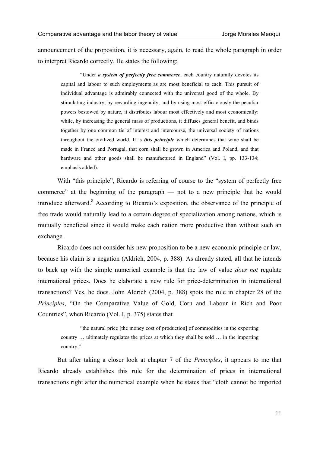announcement of the proposition, it is necessary, again, to read the whole paragraph in order to interpret Ricardo correctly. He states the following:

"Under *a system of perfectly free commerce*, each country naturally devotes its capital and labour to such employments as are most beneficial to each. This pursuit of individual advantage is admirably connected with the universal good of the whole. By stimulating industry, by rewarding ingenuity, and by using most efficaciously the peculiar powers bestowed by nature, it distributes labour most effectively and most economically: while, by increasing the general mass of productions, it diffuses general benefit, and binds together by one common tie of interest and intercourse, the universal society of nations throughout the civilized world. It is *this principle* which determines that wine shall be made in France and Portugal, that corn shall be grown in America and Poland, and that hardware and other goods shall be manufactured in England" (Vol. I, pp. 133-134; emphasis added).

With "this principle", Ricardo is referring of course to the "system of perfectly free commerce" at the beginning of the paragraph — not to a new principle that he would introduce afterward.<sup>8</sup> According to Ricardo's exposition, the observance of the principle of free trade would naturally lead to a certain degree of specialization among nations, which is mutually beneficial since it would make each nation more productive than without such an exchange.

Ricardo does not consider his new proposition to be a new economic principle or law, because his claim is a negation (Aldrich, 2004, p. 388). As already stated, all that he intends to back up with the simple numerical example is that the law of value *does not* regulate international prices. Does he elaborate a new rule for price-determination in international transactions? Yes, he does. John Aldrich (2004, p. 388) spots the rule in chapter 28 of the *Principles*, "On the Comparative Value of Gold, Corn and Labour in Rich and Poor Countries", when Ricardo (Vol. I, p. 375) states that

"the natural price [the money cost of production] of commodities in the exporting country … ultimately regulates the prices at which they shall be sold … in the importing country."

But after taking a closer look at chapter 7 of the *Principles*, it appears to me that Ricardo already establishes this rule for the determination of prices in international transactions right after the numerical example when he states that "cloth cannot be imported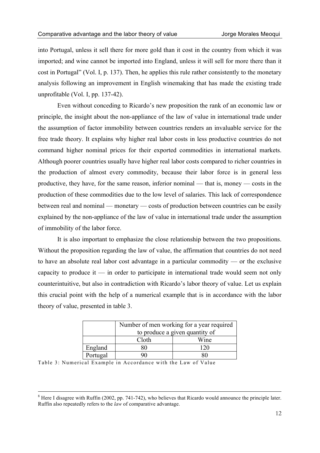into Portugal, unless it sell there for more gold than it cost in the country from which it was imported; and wine cannot be imported into England, unless it will sell for more there than it cost in Portugal" (Vol. I, p. 137). Then, he applies this rule rather consistently to the monetary analysis following an improvement in English winemaking that has made the existing trade unprofitable (Vol. I, pp. 137-42).

Even without conceding to Ricardo's new proposition the rank of an economic law or principle, the insight about the non-appliance of the law of value in international trade under the assumption of factor immobility between countries renders an invaluable service for the free trade theory. It explains why higher real labor costs in less productive countries do not command higher nominal prices for their exported commodities in international markets. Although poorer countries usually have higher real labor costs compared to richer countries in the production of almost every commodity, because their labor force is in general less productive, they have, for the same reason, inferior nominal — that is, money — costs in the production of these commodities due to the low level of salaries. This lack of correspondence between real and nominal — monetary — costs of production between countries can be easily explained by the non-appliance of the law of value in international trade under the assumption of immobility of the labor force.

It is also important to emphasize the close relationship between the two propositions. Without the proposition regarding the law of value, the affirmation that countries do not need to have an absolute real labor cost advantage in a particular commodity — or the exclusive capacity to produce it — in order to participate in international trade would seem not only counterintuitive, but also in contradiction with Ricardo's labor theory of value. Let us explain this crucial point with the help of a numerical example that is in accordance with the labor theory of value, presented in table 3.

|          | Number of men working for a year required |      |
|----------|-------------------------------------------|------|
|          | to produce a given quantity of            |      |
|          | Cloth                                     | Wine |
| England  |                                           | 120  |
| Portugal |                                           |      |

Table 3: Numerical Example in Accordance with the Law of Value

 $8$  Here I disagree with Ruffin (2002, pp. 741-742), who believes that Ricardo would announce the principle later. Ruffin also repeatedly refers to the *law* of comparative advantage.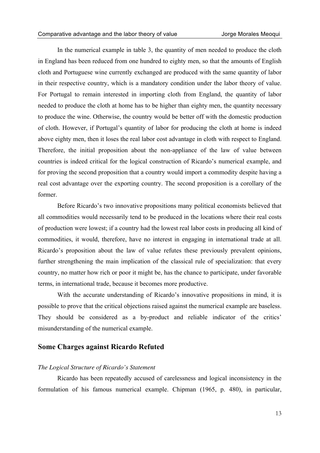In the numerical example in table 3, the quantity of men needed to produce the cloth in England has been reduced from one hundred to eighty men, so that the amounts of English cloth and Portuguese wine currently exchanged are produced with the same quantity of labor in their respective country, which is a mandatory condition under the labor theory of value. For Portugal to remain interested in importing cloth from England, the quantity of labor needed to produce the cloth at home has to be higher than eighty men, the quantity necessary to produce the wine. Otherwise, the country would be better off with the domestic production of cloth. However, if Portugal's quantity of labor for producing the cloth at home is indeed above eighty men, then it loses the real labor cost advantage in cloth with respect to England. Therefore, the initial proposition about the non-appliance of the law of value between countries is indeed critical for the logical construction of Ricardo's numerical example, and for proving the second proposition that a country would import a commodity despite having a real cost advantage over the exporting country. The second proposition is a corollary of the former.

Before Ricardo's two innovative propositions many political economists believed that all commodities would necessarily tend to be produced in the locations where their real costs of production were lowest; if a country had the lowest real labor costs in producing all kind of commodities, it would, therefore, have no interest in engaging in international trade at all. Ricardo's proposition about the law of value refutes these previously prevalent opinions, further strengthening the main implication of the classical rule of specialization: that every country, no matter how rich or poor it might be, has the chance to participate, under favorable terms, in international trade, because it becomes more productive.

With the accurate understanding of Ricardo's innovative propositions in mind, it is possible to prove that the critical objections raised against the numerical example are baseless. They should be considered as a by-product and reliable indicator of the critics' misunderstanding of the numerical example.

## **Some Charges against Ricardo Refuted**

#### *The Logical Structure of Ricardo's Statement*

Ricardo has been repeatedly accused of carelessness and logical inconsistency in the formulation of his famous numerical example. Chipman (1965, p. 480), in particular,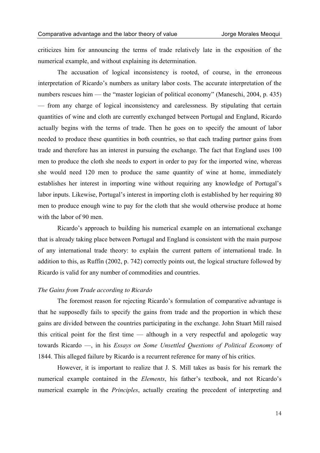criticizes him for announcing the terms of trade relatively late in the exposition of the numerical example, and without explaining its determination.

The accusation of logical inconsistency is rooted, of course, in the erroneous interpretation of Ricardo's numbers as unitary labor costs. The accurate interpretation of the numbers rescues him — the "master logician of political economy" (Maneschi, 2004, p. 435) — from any charge of logical inconsistency and carelessness. By stipulating that certain quantities of wine and cloth are currently exchanged between Portugal and England, Ricardo actually begins with the terms of trade. Then he goes on to specify the amount of labor needed to produce these quantities in both countries, so that each trading partner gains from trade and therefore has an interest in pursuing the exchange. The fact that England uses 100 men to produce the cloth she needs to export in order to pay for the imported wine, whereas she would need 120 men to produce the same quantity of wine at home, immediately establishes her interest in importing wine without requiring any knowledge of Portugal's labor inputs. Likewise, Portugal's interest in importing cloth is established by her requiring 80 men to produce enough wine to pay for the cloth that she would otherwise produce at home with the labor of 90 men.

Ricardo's approach to building his numerical example on an international exchange that is already taking place between Portugal and England is consistent with the main purpose of any international trade theory: to explain the current pattern of international trade. In addition to this, as Ruffin (2002, p. 742) correctly points out, the logical structure followed by Ricardo is valid for any number of commodities and countries.

#### *The Gains from Trade according to Ricardo*

The foremost reason for rejecting Ricardo's formulation of comparative advantage is that he supposedly fails to specify the gains from trade and the proportion in which these gains are divided between the countries participating in the exchange. John Stuart Mill raised this critical point for the first time — although in a very respectful and apologetic way towards Ricardo —, in his *Essays on Some Unsettled Questions of Political Economy* of 1844. This alleged failure by Ricardo is a recurrent reference for many of his critics.

However, it is important to realize that J. S. Mill takes as basis for his remark the numerical example contained in the *Elements*, his father's textbook, and not Ricardo's numerical example in the *Principles*, actually creating the precedent of interpreting and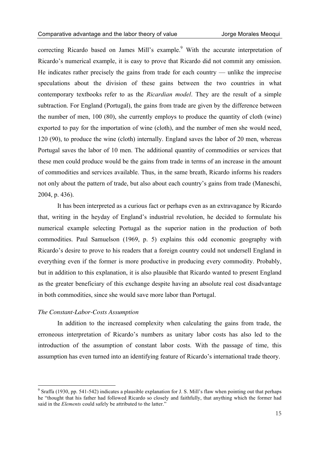correcting Ricardo based on James Mill's example.<sup>9</sup> With the accurate interpretation of Ricardo's numerical example, it is easy to prove that Ricardo did not commit any omission. He indicates rather precisely the gains from trade for each country — unlike the imprecise speculations about the division of these gains between the two countries in what contemporary textbooks refer to as the *Ricardian model*. They are the result of a simple subtraction. For England (Portugal), the gains from trade are given by the difference between the number of men, 100 (80), she currently employs to produce the quantity of cloth (wine) exported to pay for the importation of wine (cloth), and the number of men she would need, 120 (90), to produce the wine (cloth) internally. England saves the labor of 20 men, whereas Portugal saves the labor of 10 men. The additional quantity of commodities or services that these men could produce would be the gains from trade in terms of an increase in the amount of commodities and services available. Thus, in the same breath, Ricardo informs his readers not only about the pattern of trade, but also about each country's gains from trade (Maneschi, 2004, p. 436).

It has been interpreted as a curious fact or perhaps even as an extravagance by Ricardo that, writing in the heyday of England's industrial revolution, he decided to formulate his numerical example selecting Portugal as the superior nation in the production of both commodities. Paul Samuelson (1969, p. 5) explains this odd economic geography with Ricardo's desire to prove to his readers that a foreign country could not undersell England in everything even if the former is more productive in producing every commodity. Probably, but in addition to this explanation, it is also plausible that Ricardo wanted to present England as the greater beneficiary of this exchange despite having an absolute real cost disadvantage in both commodities, since she would save more labor than Portugal.

#### *The Constant-Labor-Costs Assumption*

 $\overline{a}$ 

In addition to the increased complexity when calculating the gains from trade, the erroneous interpretation of Ricardo's numbers as unitary labor costs has also led to the introduction of the assumption of constant labor costs. With the passage of time, this assumption has even turned into an identifying feature of Ricardo's international trade theory.

<sup>&</sup>lt;sup>9</sup> Sraffa (1930, pp. 541-542) indicates a plausible explanation for J. S. Mill's flaw when pointing out that perhaps he "thought that his father had followed Ricardo so closely and faithfully, that anything which the former had said in the *Elements* could safely be attributed to the latter."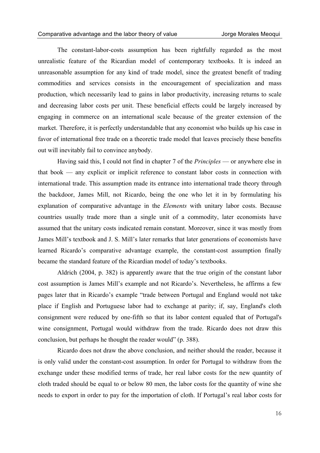The constant-labor-costs assumption has been rightfully regarded as the most unrealistic feature of the Ricardian model of contemporary textbooks. It is indeed an unreasonable assumption for any kind of trade model, since the greatest benefit of trading commodities and services consists in the encouragement of specialization and mass production, which necessarily lead to gains in labor productivity, increasing returns to scale and decreasing labor costs per unit. These beneficial effects could be largely increased by engaging in commerce on an international scale because of the greater extension of the market. Therefore, it is perfectly understandable that any economist who builds up his case in favor of international free trade on a theoretic trade model that leaves precisely these benefits out will inevitably fail to convince anybody.

Having said this, I could not find in chapter 7 of the *Principles* — or anywhere else in that book — any explicit or implicit reference to constant labor costs in connection with international trade. This assumption made its entrance into international trade theory through the backdoor, James Mill, not Ricardo, being the one who let it in by formulating his explanation of comparative advantage in the *Elements* with unitary labor costs. Because countries usually trade more than a single unit of a commodity, later economists have assumed that the unitary costs indicated remain constant. Moreover, since it was mostly from James Mill's textbook and J. S. Mill's later remarks that later generations of economists have learned Ricardo's comparative advantage example, the constant-cost assumption finally became the standard feature of the Ricardian model of today's textbooks.

Aldrich (2004, p. 382) is apparently aware that the true origin of the constant labor cost assumption is James Mill's example and not Ricardo's. Nevertheless, he affirms a few pages later that in Ricardo's example "trade between Portugal and England would not take place if English and Portuguese labor had to exchange at parity; if, say, England's cloth consignment were reduced by one-fifth so that its labor content equaled that of Portugal's wine consignment, Portugal would withdraw from the trade. Ricardo does not draw this conclusion, but perhaps he thought the reader would" (p. 388).

Ricardo does not draw the above conclusion, and neither should the reader, because it is only valid under the constant-cost assumption. In order for Portugal to withdraw from the exchange under these modified terms of trade, her real labor costs for the new quantity of cloth traded should be equal to or below 80 men, the labor costs for the quantity of wine she needs to export in order to pay for the importation of cloth. If Portugal's real labor costs for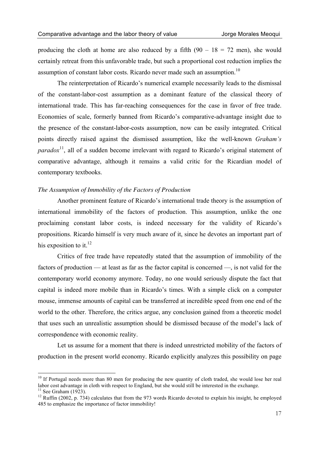producing the cloth at home are also reduced by a fifth  $(90 - 18 = 72$  men), she would certainly retreat from this unfavorable trade, but such a proportional cost reduction implies the assumption of constant labor costs. Ricardo never made such an assumption.<sup>10</sup>

The reinterpretation of Ricardo's numerical example necessarily leads to the dismissal of the constant-labor-cost assumption as a dominant feature of the classical theory of international trade. This has far-reaching consequences for the case in favor of free trade. Economies of scale, formerly banned from Ricardo's comparative-advantage insight due to the presence of the constant-labor-costs assumption, now can be easily integrated. Critical points directly raised against the dismissed assumption, like the well-known *Graham's paradox*<sup>11</sup>, all of a sudden become irrelevant with regard to Ricardo's original statement of comparative advantage, although it remains a valid critic for the Ricardian model of contemporary textbooks.

#### *The Assumption of Immobility of the Factors of Production*

 $\overline{a}$ 

Another prominent feature of Ricardo's international trade theory is the assumption of international immobility of the factors of production. This assumption, unlike the one proclaiming constant labor costs, is indeed necessary for the validity of Ricardo's propositions. Ricardo himself is very much aware of it, since he devotes an important part of his exposition to it.<sup>12</sup>

Critics of free trade have repeatedly stated that the assumption of immobility of the factors of production — at least as far as the factor capital is concerned —, is not valid for the contemporary world economy anymore. Today, no one would seriously dispute the fact that capital is indeed more mobile than in Ricardo's times. With a simple click on a computer mouse, immense amounts of capital can be transferred at incredible speed from one end of the world to the other. Therefore, the critics argue, any conclusion gained from a theoretic model that uses such an unrealistic assumption should be dismissed because of the model's lack of correspondence with economic reality.

Let us assume for a moment that there is indeed unrestricted mobility of the factors of production in the present world economy. Ricardo explicitly analyzes this possibility on page

<sup>&</sup>lt;sup>10</sup> If Portugal needs more than 80 men for producing the new quantity of cloth traded, she would lose her real labor cost advantage in cloth with respect to England, but she would still be interested in the exchange.  $11$  See Graham (1923).

<sup>&</sup>lt;sup>12</sup> Ruffin (2002, p. 734) calculates that from the 973 words Ricardo devoted to explain his insight, he employed 485 to emphasize the importance of factor immobility!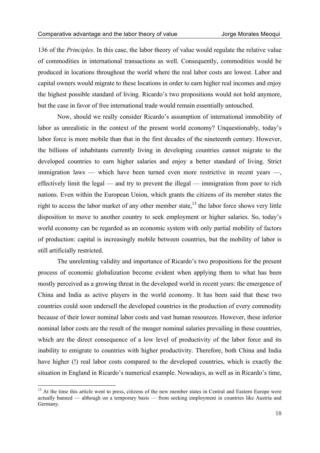136 of the *Principles*. In this case, the labor theory of value would regulate the relative value of commodities in international transactions as well. Consequently, commodities would be produced in locations throughout the world where the real labor costs are lowest. Labor and capital owners would migrate to these locations in order to earn higher real incomes and enjoy the highest possible standard of living. Ricardo's two propositions would not hold anymore, but the case in favor of free international trade would remain essentially untouched.

Now, should we really consider Ricardo's assumption of international immobility of labor as unrealistic in the context of the present world economy? Unquestionably, today's labor force is more mobile than that in the first decades of the nineteenth century. However, the billions of inhabitants currently living in developing countries cannot migrate to the developed countries to earn higher salaries and enjoy a better standard of living. Strict immigration laws — which have been turned even more restrictive in recent years —, effectively limit the legal — and try to prevent the illegal — immigration from poor to rich nations. Even within the European Union, which grants the citizens of its member states the right to access the labor market of any other member state, $13$  the labor force shows very little disposition to move to another country to seek employment or higher salaries. So, today's world economy can be regarded as an economic system with only partial mobility of factors of production: capital is increasingly mobile between countries, but the mobility of labor is still artificially restricted.

The unrelenting validity and importance of Ricardo's two propositions for the present process of economic globalization become evident when applying them to what has been mostly perceived as a growing threat in the developed world in recent years: the emergence of China and India as active players in the world economy. It has been said that these two countries could soon undersell the developed countries in the production of every commodity because of their lower nominal labor costs and vast human resources. However, these inferior nominal labor costs are the result of the meager nominal salaries prevailing in these countries, which are the direct consequence of a low level of productivity of the labor force and its inability to emigrate to countries with higher productivity. Therefore, both China and India have higher (!) real labor costs compared to the developed countries, which is exactly the situation in England in Ricardo's numerical example. Nowadays, as well as in Ricardo's time,

<sup>&</sup>lt;sup>13</sup> At the time this article went to press, citizens of the new member states in Central and Eastern Europe were actually banned — although on a temporary basis — from seeking employment in countries like Austria and Germany.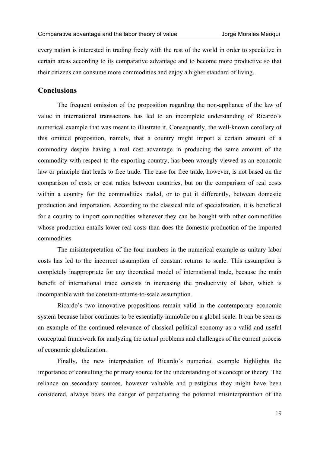every nation is interested in trading freely with the rest of the world in order to specialize in certain areas according to its comparative advantage and to become more productive so that their citizens can consume more commodities and enjoy a higher standard of living.

#### **Conclusions**

The frequent omission of the proposition regarding the non-appliance of the law of value in international transactions has led to an incomplete understanding of Ricardo's numerical example that was meant to illustrate it. Consequently, the well-known corollary of this omitted proposition, namely, that a country might import a certain amount of a commodity despite having a real cost advantage in producing the same amount of the commodity with respect to the exporting country, has been wrongly viewed as an economic law or principle that leads to free trade. The case for free trade, however, is not based on the comparison of costs or cost ratios between countries, but on the comparison of real costs within a country for the commodities traded, or to put it differently, between domestic production and importation. According to the classical rule of specialization, it is beneficial for a country to import commodities whenever they can be bought with other commodities whose production entails lower real costs than does the domestic production of the imported commodities.

The misinterpretation of the four numbers in the numerical example as unitary labor costs has led to the incorrect assumption of constant returns to scale. This assumption is completely inappropriate for any theoretical model of international trade, because the main benefit of international trade consists in increasing the productivity of labor, which is incompatible with the constant-returns-to-scale assumption.

Ricardo's two innovative propositions remain valid in the contemporary economic system because labor continues to be essentially immobile on a global scale. It can be seen as an example of the continued relevance of classical political economy as a valid and useful conceptual framework for analyzing the actual problems and challenges of the current process of economic globalization.

Finally, the new interpretation of Ricardo's numerical example highlights the importance of consulting the primary source for the understanding of a concept or theory. The reliance on secondary sources, however valuable and prestigious they might have been considered, always bears the danger of perpetuating the potential misinterpretation of the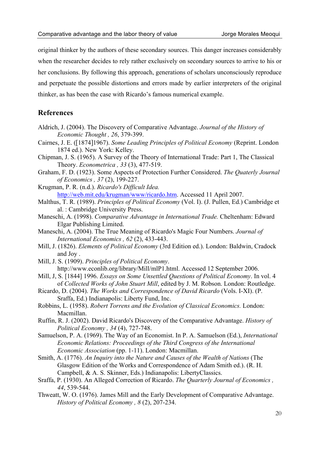original thinker by the authors of these secondary sources. This danger increases considerably when the researcher decides to rely rather exclusively on secondary sources to arrive to his or her conclusions. By following this approach, generations of scholars unconsciously reproduce and perpetuate the possible distortions and errors made by earlier interpreters of the original thinker, as has been the case with Ricardo's famous numerical example.

# **References**

- Aldrich, J. (2004). The Discovery of Comparative Advantage. *Journal of the History of Economic Thought , 26*, 379-399.
- Cairnes, J. E. ([1874]1967). *Some Leading Principles of Political Economy* (Reprint. London 1874 ed.). New York: Kelley.
- Chipman, J. S. (1965). A Survey of the Theory of International Trade: Part 1, The Classical Theory. *Econometrica , 33* (3), 477-519.
- Graham, F. D. (1923). Some Aspects of Protection Further Considered. *The Quaterly Journal of Economics , 37* (2), 199-227.

Krugman, P. R. (n.d.). *Ricardo's Difficult Idea.* http://web.mit.edu/krugman/www/ricardo.htm. Accessed 11 April 2007.

- Malthus, T. R. (1989). *Principles of Political Economy* (Vol. I). (J. Pullen, Ed.) Cambridge et al. : Cambridge University Press.
- Maneschi, A. (1998). *Comparative Advantage in International Trade.* Cheltenham: Edward Elgar Publishing Limited.
- Maneschi, A. (2004). The True Meaning of Ricardo's Magic Four Numbers. *Journal of International Economics , 62* (2), 433-443.
- Mill, J. (1826). *Elements of Political Economy* (3rd Edition ed.). London: Baldwin, Cradock and Joy .
- Mill, J. S. (1909). *Principles of Political Economy*. http://www.econlib.org/library/Mill/mlP1.html. Accessed 12 September 2006.
- Mill, J, S. [1844] 1996. *Essays on Some Unsettled Questions of Political Economy*. In vol. 4 of *Collected Works of John Stuart Mill*, edited by J. M. Robson. London: Routledge.
- Ricardo, D. (2004). *The Works and Correspondence of David Ricardo* (Vols. I-XI). (P. Sraffa, Ed.) Indianapolis: Liberty Fund, Inc.
- Robbins, L. (1958). *Robert Torrens and the Evolution of Classical Economics.* London: Macmillan.
- Ruffin, R. J. (2002). David Ricardo's Discovery of the Comparative Advantage. *History of Political Economy , 34* (4), 727-748.
- Samuelson, P. A. (1969). The Way of an Economist. In P. A. Samuelson (Ed.), *International Economic Relations: Proceedings of the Third Congress of the International Economic Association* (pp. 1-11). London: Macmillan.
- Smith, A. (1776). *An Inquiry into the Nature and Causes of the Wealth of Nations* (The Glasgow Edition of the Works and Correspondence of Adam Smith ed.). (R. H. Campbell, & A. S. Skinner, Eds.) Indianapolis: LibertyClassics.
- Sraffa, P. (1930). An Alleged Correction of Ricardo. *The Quarterly Journal of Economics , 44*, 539-544.
- Thweatt, W. O. (1976). James Mill and the Early Development of Comparative Advantage. *History of Political Economy , 8* (2), 207-234.